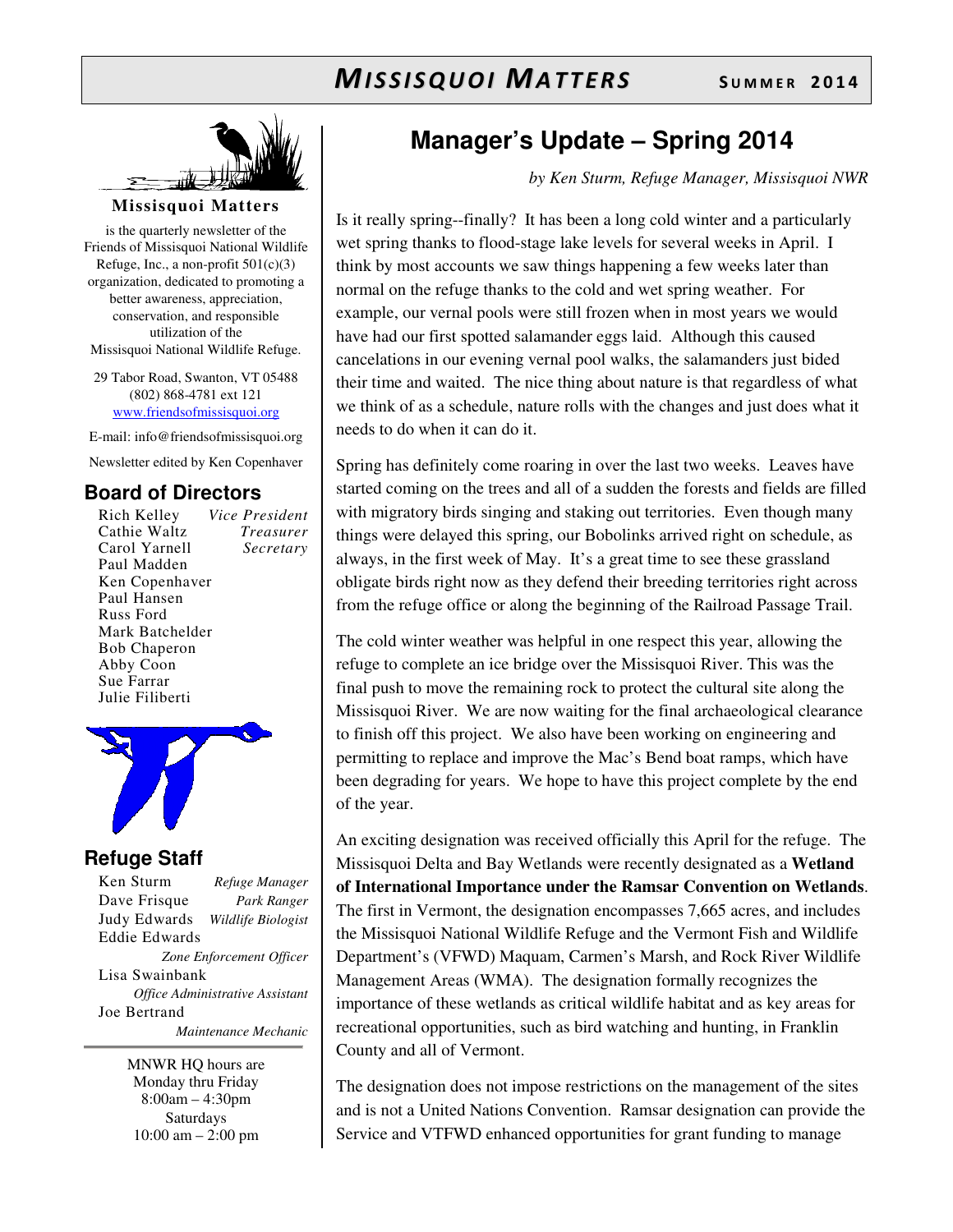

#### **Missisquoi Matters**

is the quarterly newsletter of the Friends of Missisquoi National Wildlife Refuge, Inc., a non-profit  $501(c)(3)$ organization, dedicated to promoting a better awareness, appreciation, conservation, and responsible utilization of the Missisquoi National Wildlife Refuge.

29 Tabor Road, Swanton, VT 05488 (802) 868-4781 ext 121 www.friendsofmissisquoi.org

E-mail: info@friendsofmissisquoi.org Newsletter edited by Ken Copenhaver

#### **Board of Directors**

Rich Kelley *Vice President* Cathie Waltz *Treasurer* Carol Yarnell *Secretary*  Paul Madden Ken Copenhaver Paul Hansen Russ Ford Mark Batchelder Bob Chaperon Abby Coon Sue Farrar Julie Filiberti



#### **Refuge Staff**

Ken Sturm *Refuge Manager* Dave Frisque *Park Ranger* Judy Edwards *Wildlife Biologist* Eddie Edwards *Zone Enforcement Officer* Lisa Swainbank *Office Administrative Assistant*  Joe Bertrand  *Maintenance Mechanic*

> MNWR HQ hours are Monday thru Friday 8:00am – 4:30pm Saturdays 10:00 am – 2:00 pm

## **Manager's Update – Spring 2014**

*by Ken Sturm, Refuge Manager, Missisquoi NWR*

Is it really spring--finally? It has been a long cold winter and a particularly wet spring thanks to flood-stage lake levels for several weeks in April. I think by most accounts we saw things happening a few weeks later than normal on the refuge thanks to the cold and wet spring weather. For example, our vernal pools were still frozen when in most years we would have had our first spotted salamander eggs laid. Although this caused cancelations in our evening vernal pool walks, the salamanders just bided their time and waited. The nice thing about nature is that regardless of what we think of as a schedule, nature rolls with the changes and just does what it needs to do when it can do it.

Spring has definitely come roaring in over the last two weeks. Leaves have started coming on the trees and all of a sudden the forests and fields are filled with migratory birds singing and staking out territories. Even though many things were delayed this spring, our Bobolinks arrived right on schedule, as always, in the first week of May. It's a great time to see these grassland obligate birds right now as they defend their breeding territories right across from the refuge office or along the beginning of the Railroad Passage Trail.

The cold winter weather was helpful in one respect this year, allowing the refuge to complete an ice bridge over the Missisquoi River. This was the final push to move the remaining rock to protect the cultural site along the Missisquoi River. We are now waiting for the final archaeological clearance to finish off this project. We also have been working on engineering and permitting to replace and improve the Mac's Bend boat ramps, which have been degrading for years. We hope to have this project complete by the end of the year.

An exciting designation was received officially this April for the refuge. The Missisquoi Delta and Bay Wetlands were recently designated as a **Wetland of International Importance under the Ramsar Convention on Wetlands**. The first in Vermont, the designation encompasses 7,665 acres, and includes the Missisquoi National Wildlife Refuge and the Vermont Fish and Wildlife Department's (VFWD) Maquam, Carmen's Marsh, and Rock River Wildlife Management Areas (WMA). The designation formally recognizes the importance of these wetlands as critical wildlife habitat and as key areas for recreational opportunities, such as bird watching and hunting, in Franklin County and all of Vermont.

The designation does not impose restrictions on the management of the sites and is not a United Nations Convention. Ramsar designation can provide the Service and VTFWD enhanced opportunities for grant funding to manage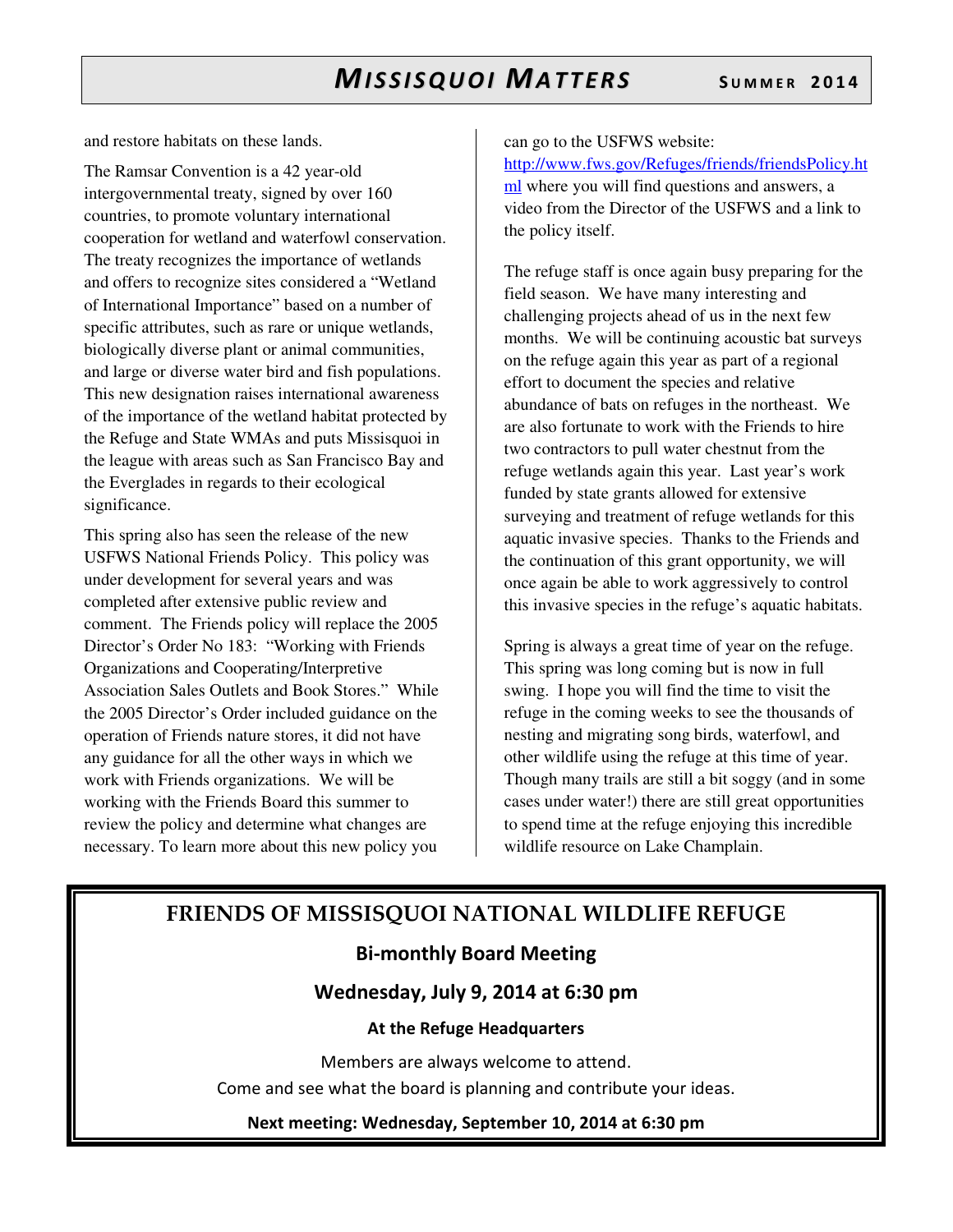and restore habitats on these lands.

The Ramsar Convention is a 42 year-old intergovernmental treaty, signed by over 160 countries, to promote voluntary international cooperation for wetland and waterfowl conservation. The treaty recognizes the importance of wetlands and offers to recognize sites considered a "Wetland of International Importance" based on a number of specific attributes, such as rare or unique wetlands, biologically diverse plant or animal communities, and large or diverse water bird and fish populations. This new designation raises international awareness of the importance of the wetland habitat protected by the Refuge and State WMAs and puts Missisquoi in the league with areas such as San Francisco Bay and the Everglades in regards to their ecological significance.

This spring also has seen the release of the new USFWS National Friends Policy. This policy was under development for several years and was completed after extensive public review and comment. The Friends policy will replace the 2005 Director's Order No 183: "Working with Friends Organizations and Cooperating/Interpretive Association Sales Outlets and Book Stores." While the 2005 Director's Order included guidance on the operation of Friends nature stores, it did not have any guidance for all the other ways in which we work with Friends organizations. We will be working with the Friends Board this summer to review the policy and determine what changes are necessary. To learn more about this new policy you

can go to the USFWS website:

http://www.fws.gov/Refuges/friends/friendsPolicy.ht ml where you will find questions and answers, a video from the Director of the USFWS and a link to the policy itself.

The refuge staff is once again busy preparing for the field season. We have many interesting and challenging projects ahead of us in the next few months. We will be continuing acoustic bat surveys on the refuge again this year as part of a regional effort to document the species and relative abundance of bats on refuges in the northeast. We are also fortunate to work with the Friends to hire two contractors to pull water chestnut from the refuge wetlands again this year. Last year's work funded by state grants allowed for extensive surveying and treatment of refuge wetlands for this aquatic invasive species. Thanks to the Friends and the continuation of this grant opportunity, we will once again be able to work aggressively to control this invasive species in the refuge's aquatic habitats.

Spring is always a great time of year on the refuge. This spring was long coming but is now in full swing. I hope you will find the time to visit the refuge in the coming weeks to see the thousands of nesting and migrating song birds, waterfowl, and other wildlife using the refuge at this time of year. Though many trails are still a bit soggy (and in some cases under water!) there are still great opportunities to spend time at the refuge enjoying this incredible wildlife resource on Lake Champlain.

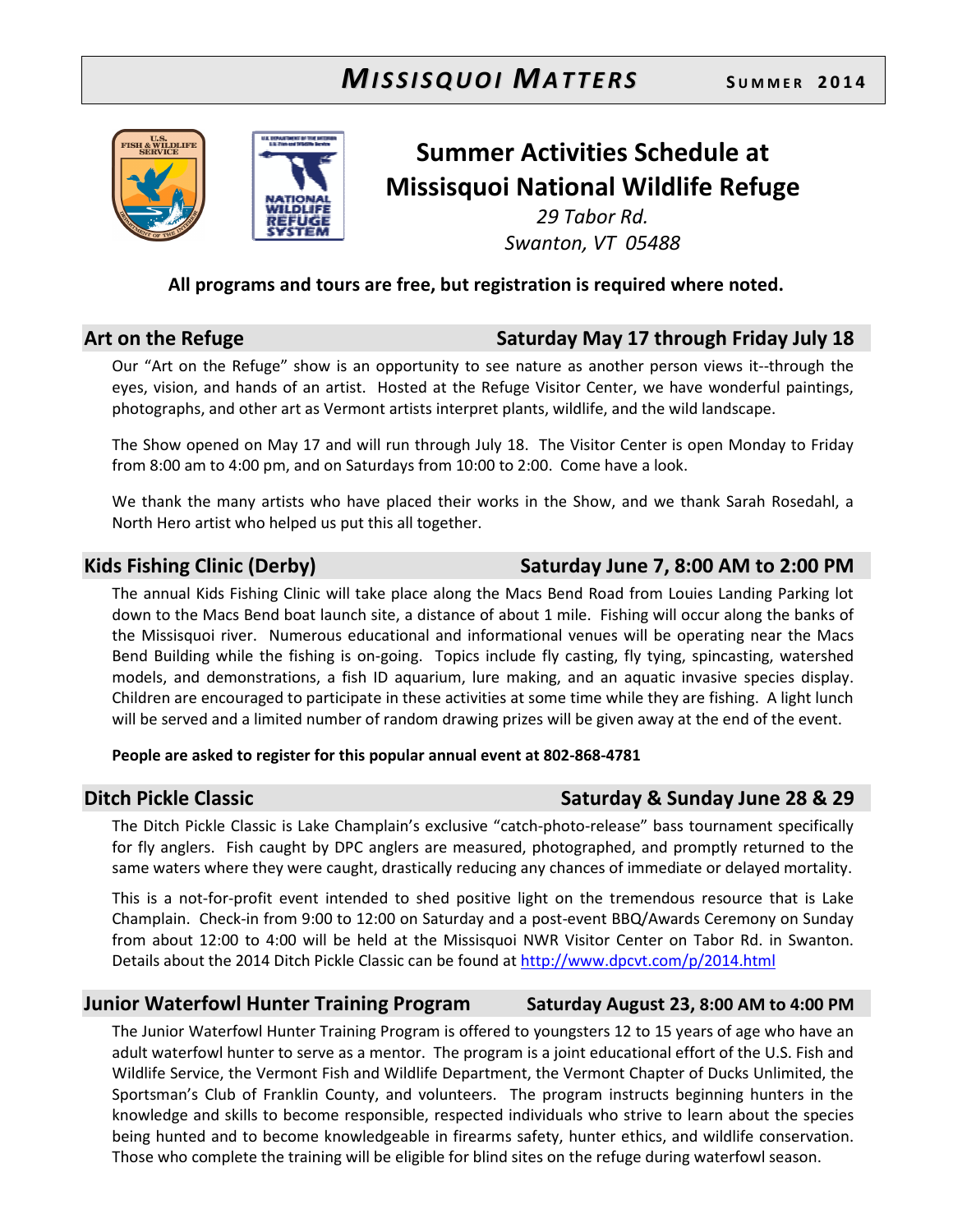



# Summer Activities Schedule at Missisquoi National Wildlife Refuge

29 Tabor Rd. Swanton, VT 05488

### All programs and tours are free, but registration is required where noted.

### Art on the Refuge Saturday May 17 through Friday July 18

Our "Art on the Refuge" show is an opportunity to see nature as another person views it--through the eyes, vision, and hands of an artist. Hosted at the Refuge Visitor Center, we have wonderful paintings, photographs, and other art as Vermont artists interpret plants, wildlife, and the wild landscape.

The Show opened on May 17 and will run through July 18. The Visitor Center is open Monday to Friday from 8:00 am to 4:00 pm, and on Saturdays from 10:00 to 2:00. Come have a look.

We thank the many artists who have placed their works in the Show, and we thank Sarah Rosedahl, a North Hero artist who helped us put this all together.

The annual Kids Fishing Clinic will take place along the Macs Bend Road from Louies Landing Parking lot down to the Macs Bend boat launch site, a distance of about 1 mile. Fishing will occur along the banks of the Missisquoi river. Numerous educational and informational venues will be operating near the Macs Bend Building while the fishing is on-going. Topics include fly casting, fly tying, spincasting, watershed models, and demonstrations, a fish ID aquarium, lure making, and an aquatic invasive species display. Children are encouraged to participate in these activities at some time while they are fishing. A light lunch will be served and a limited number of random drawing prizes will be given away at the end of the event.

#### People are asked to register for this popular annual event at 802-868-4781

### Ditch Pickle Classic **Saturday & Sunday June 28 & 29**

The Ditch Pickle Classic is Lake Champlain's exclusive "catch-photo-release" bass tournament specifically for fly anglers. Fish caught by DPC anglers are measured, photographed, and promptly returned to the same waters where they were caught, drastically reducing any chances of immediate or delayed mortality.

This is a not-for-profit event intended to shed positive light on the tremendous resource that is Lake Champlain. Check-in from 9:00 to 12:00 on Saturday and a post-event BBQ/Awards Ceremony on Sunday from about 12:00 to 4:00 will be held at the Missisquoi NWR Visitor Center on Tabor Rd. in Swanton. Details about the 2014 Ditch Pickle Classic can be found at http://www.dpcvt.com/p/2014.html

### Junior Waterfowl Hunter Training Program Saturday August 23, 8:00 AM to 4:00 PM

The Junior Waterfowl Hunter Training Program is offered to youngsters 12 to 15 years of age who have an adult waterfowl hunter to serve as a mentor. The program is a joint educational effort of the U.S. Fish and Wildlife Service, the Vermont Fish and Wildlife Department, the Vermont Chapter of Ducks Unlimited, the Sportsman's Club of Franklin County, and volunteers. The program instructs beginning hunters in the knowledge and skills to become responsible, respected individuals who strive to learn about the species being hunted and to become knowledgeable in firearms safety, hunter ethics, and wildlife conservation. Those who complete the training will be eligible for blind sites on the refuge during waterfowl season.

## Kids Fishing Clinic (Derby) Saturday June 7, 8:00 AM to 2:00 PM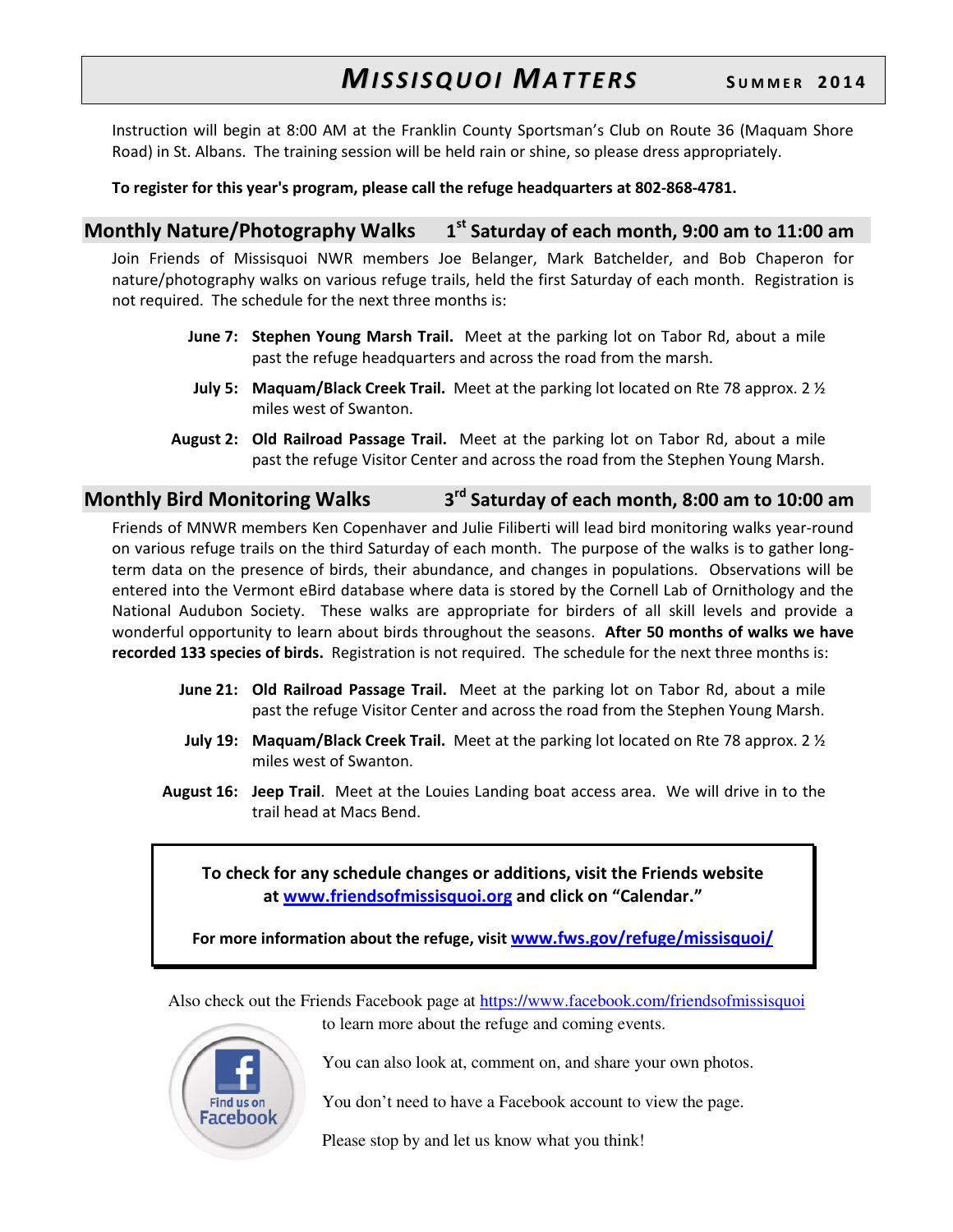Instruction will begin at 8:00 AM at the Franklin County Sportsman's Club on Route 36 (Maquam Shore Road) in St. Albans. The training session will be held rain or shine, so please dress appropriately.

#### To register for this year's program, please call the refuge headquarters at 802-868-4781.

#### Monthly Nature/Photography Walks 1  $1<sup>st</sup>$  Saturday of each month, 9:00 am to 11:00 am

Join Friends of Missisquoi NWR members Joe Belanger, Mark Batchelder, and Bob Chaperon for nature/photography walks on various refuge trails, held the first Saturday of each month. Registration is not required. The schedule for the next three months is:

- **June 7: Stephen Young Marsh Trail.** Meet at the parking lot on Tabor Rd, about a mile past the refuge headquarters and across the road from the marsh.
- **July 5: Maquam/Black Creek Trail.** Meet at the parking lot located on Rte 78 approx. 2  $\frac{1}{2}$ miles west of Swanton.
- August 2: Old Railroad Passage Trail. Meet at the parking lot on Tabor Rd, about a mile past the refuge Visitor Center and across the road from the Stephen Young Marsh.

#### Monthly Bird Monitoring Walks 3 3<sup>rd</sup> Saturday of each month, 8:00 am to 10:00 am

Friends of MNWR members Ken Copenhaver and Julie Filiberti will lead bird monitoring walks year-round on various refuge trails on the third Saturday of each month. The purpose of the walks is to gather longterm data on the presence of birds, their abundance, and changes in populations. Observations will be entered into the Vermont eBird database where data is stored by the Cornell Lab of Ornithology and the National Audubon Society. These walks are appropriate for birders of all skill levels and provide a wonderful opportunity to learn about birds throughout the seasons. After 50 months of walks we have recorded 133 species of birds. Registration is not required. The schedule for the next three months is:

- **June 21: Old Railroad Passage Trail.** Meet at the parking lot on Tabor Rd, about a mile past the refuge Visitor Center and across the road from the Stephen Young Marsh.
- **July 19: Maquam/Black Creek Trail.** Meet at the parking lot located on Rte 78 approx. 2  $\frac{1}{2}$ miles west of Swanton.
- August 16: Jeep Trail. Meet at the Louies Landing boat access area. We will drive in to the trail head at Macs Bend.

To check for any schedule changes or additions, visit the Friends website at www.friendsofmissisquoi.org and click on "Calendar."

For more information about the refuge, visit www.fws.gov/refuge/missisquoi/

Also check out the Friends Facebook page at https://www.facebook.com/friendsofmissisquoi



to learn more about the refuge and coming events.

You can also look at, comment on, and share your own photos.

You don't need to have a Facebook account to view the page.

Please stop by and let us know what you think!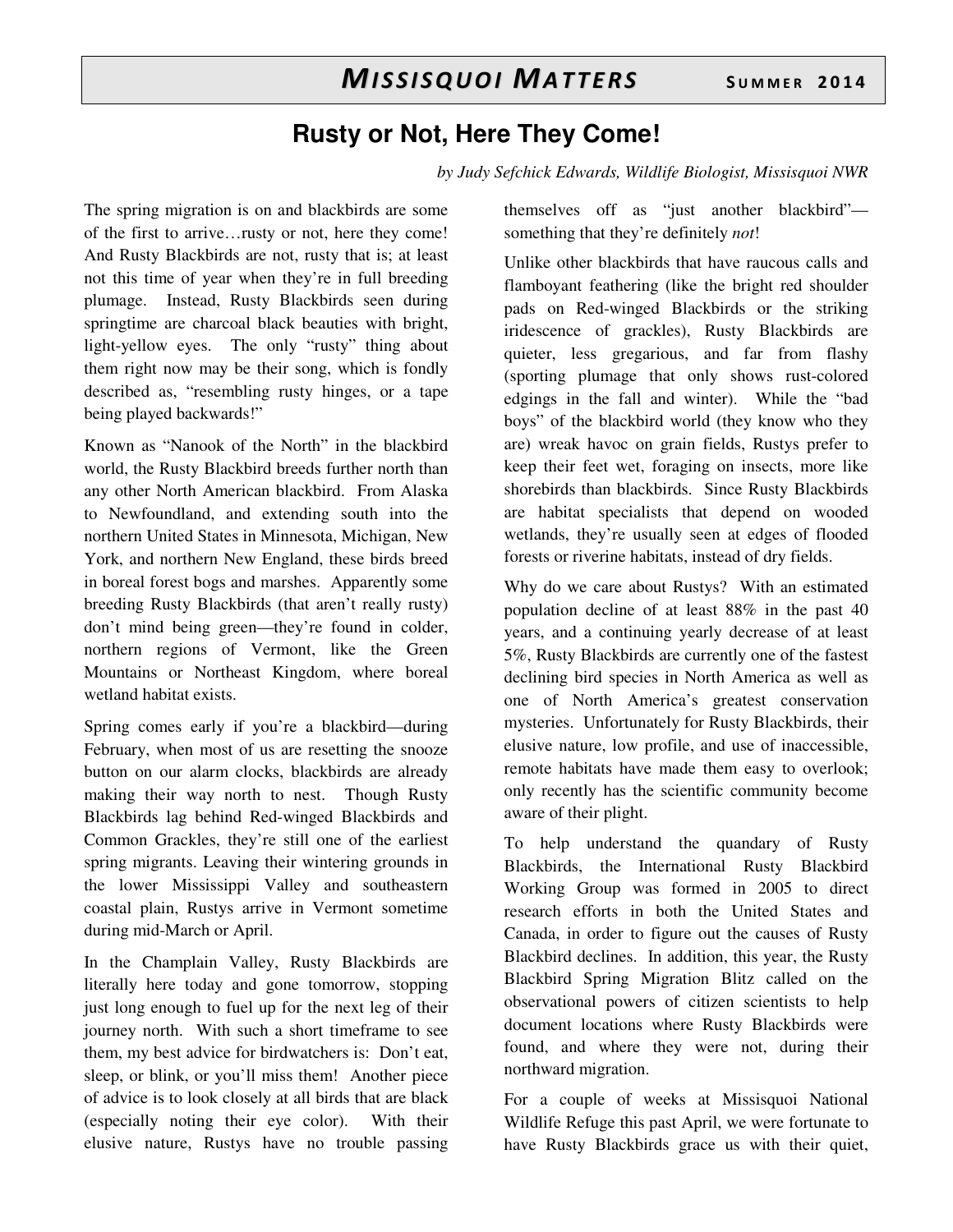## **Rusty or Not, Here They Come!**

*by Judy Sefchick Edwards, Wildlife Biologist, Missisquoi NWR* 

The spring migration is on and blackbirds are some of the first to arrive…rusty or not, here they come! And Rusty Blackbirds are not, rusty that is; at least not this time of year when they're in full breeding plumage. Instead, Rusty Blackbirds seen during springtime are charcoal black beauties with bright, light-yellow eyes. The only "rusty" thing about them right now may be their song, which is fondly described as, "resembling rusty hinges, or a tape being played backwards!"

Known as "Nanook of the North" in the blackbird world, the Rusty Blackbird breeds further north than any other North American blackbird. From Alaska to Newfoundland, and extending south into the northern United States in Minnesota, Michigan, New York, and northern New England, these birds breed in boreal forest bogs and marshes. Apparently some breeding Rusty Blackbirds (that aren't really rusty) don't mind being green—they're found in colder, northern regions of Vermont, like the Green Mountains or Northeast Kingdom, where boreal wetland habitat exists.

Spring comes early if you're a blackbird—during February, when most of us are resetting the snooze button on our alarm clocks, blackbirds are already making their way north to nest. Though Rusty Blackbirds lag behind Red-winged Blackbirds and Common Grackles, they're still one of the earliest spring migrants. Leaving their wintering grounds in the lower Mississippi Valley and southeastern coastal plain, Rustys arrive in Vermont sometime during mid-March or April.

In the Champlain Valley, Rusty Blackbirds are literally here today and gone tomorrow, stopping just long enough to fuel up for the next leg of their journey north. With such a short timeframe to see them, my best advice for birdwatchers is: Don't eat, sleep, or blink, or you'll miss them! Another piece of advice is to look closely at all birds that are black (especially noting their eye color). With their elusive nature, Rustys have no trouble passing themselves off as "just another blackbird" something that they're definitely *not*!

Unlike other blackbirds that have raucous calls and flamboyant feathering (like the bright red shoulder pads on Red-winged Blackbirds or the striking iridescence of grackles), Rusty Blackbirds are quieter, less gregarious, and far from flashy (sporting plumage that only shows rust-colored edgings in the fall and winter). While the "bad boys" of the blackbird world (they know who they are) wreak havoc on grain fields, Rustys prefer to keep their feet wet, foraging on insects, more like shorebirds than blackbirds. Since Rusty Blackbirds are habitat specialists that depend on wooded wetlands, they're usually seen at edges of flooded forests or riverine habitats, instead of dry fields.

Why do we care about Rustys? With an estimated population decline of at least 88% in the past 40 years, and a continuing yearly decrease of at least 5%, Rusty Blackbirds are currently one of the fastest declining bird species in North America as well as one of North America's greatest conservation mysteries. Unfortunately for Rusty Blackbirds, their elusive nature, low profile, and use of inaccessible, remote habitats have made them easy to overlook; only recently has the scientific community become aware of their plight.

To help understand the quandary of Rusty Blackbirds, the International Rusty Blackbird Working Group was formed in 2005 to direct research efforts in both the United States and Canada, in order to figure out the causes of Rusty Blackbird declines. In addition, this year, the Rusty Blackbird Spring Migration Blitz called on the observational powers of citizen scientists to help document locations where Rusty Blackbirds were found, and where they were not, during their northward migration.

For a couple of weeks at Missisquoi National Wildlife Refuge this past April, we were fortunate to have Rusty Blackbirds grace us with their quiet,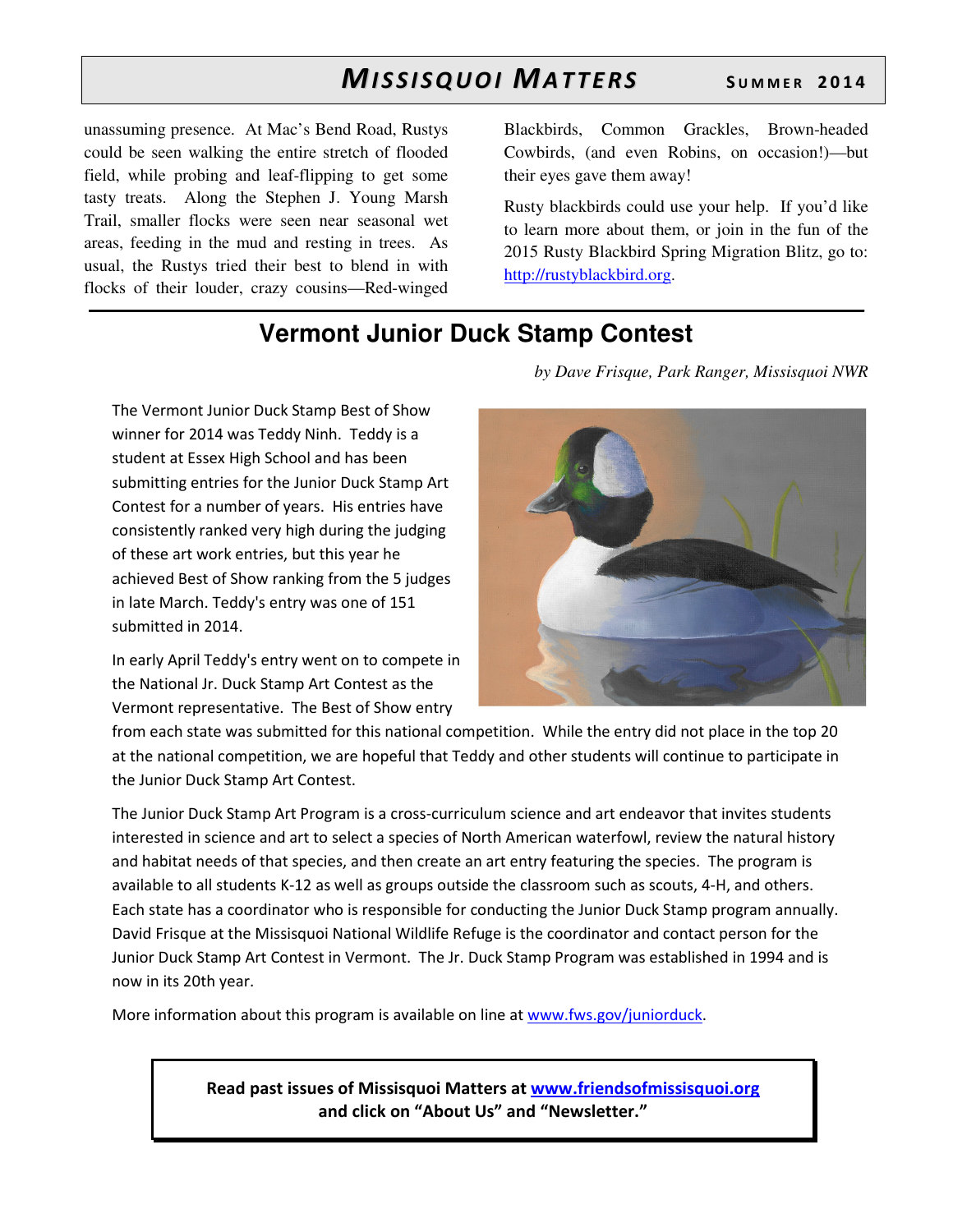unassuming presence. At Mac's Bend Road, Rustys could be seen walking the entire stretch of flooded field, while probing and leaf-flipping to get some tasty treats. Along the Stephen J. Young Marsh Trail, smaller flocks were seen near seasonal wet areas, feeding in the mud and resting in trees. As usual, the Rustys tried their best to blend in with flocks of their louder, crazy cousins—Red-winged

Blackbirds, Common Grackles, Brown-headed Cowbirds, (and even Robins, on occasion!)—but their eyes gave them away!

Rusty blackbirds could use your help. If you'd like to learn more about them, or join in the fun of the 2015 Rusty Blackbird Spring Migration Blitz, go to: http://rustyblackbird.org.

## **Vermont Junior Duck Stamp Contest**

*by Dave Frisque, Park Ranger, Missisquoi NWR* 

The Vermont Junior Duck Stamp Best of Show winner for 2014 was Teddy Ninh. Teddy is a student at Essex High School and has been submitting entries for the Junior Duck Stamp Art Contest for a number of years. His entries have consistently ranked very high during the judging of these art work entries, but this year he achieved Best of Show ranking from the 5 judges in late March. Teddy's entry was one of 151 submitted in 2014.

In early April Teddy's entry went on to compete in the National Jr. Duck Stamp Art Contest as the Vermont representative. The Best of Show entry

from each state was submitted for this national competition. While the entry did not place in the top 20 at the national competition, we are hopeful that Teddy and other students will continue to participate in the Junior Duck Stamp Art Contest.

The Junior Duck Stamp Art Program is a cross-curriculum science and art endeavor that invites students interested in science and art to select a species of North American waterfowl, review the natural history and habitat needs of that species, and then create an art entry featuring the species. The program is available to all students K-12 as well as groups outside the classroom such as scouts, 4-H, and others. Each state has a coordinator who is responsible for conducting the Junior Duck Stamp program annually. David Frisque at the Missisquoi National Wildlife Refuge is the coordinator and contact person for the Junior Duck Stamp Art Contest in Vermont. The Jr. Duck Stamp Program was established in 1994 and is now in its 20th year.

More information about this program is available on line at www.fws.gov/juniorduck.

Read past issues of Missisquoi Matters at www.friendsofmissisquoi.org and click on "About Us" and "Newsletter."